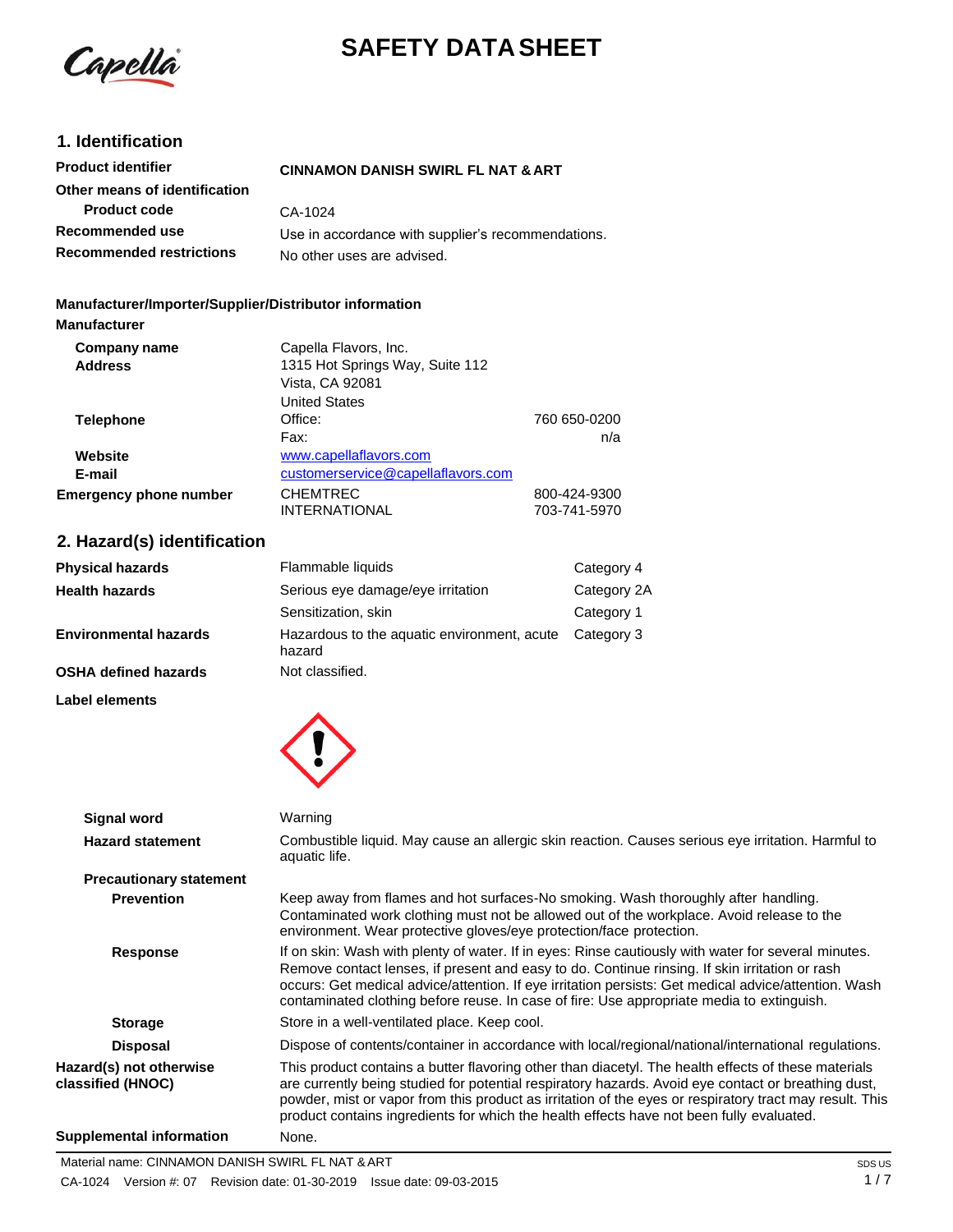

# **SAFETY DATA SHEET**

## **1. Identification**

| <b>Product identifier</b>       | <b>CINNAMON DANISH SWIRL FL NAT &amp; ART</b>      |
|---------------------------------|----------------------------------------------------|
| Other means of identification   |                                                    |
| <b>Product code</b>             | CA-1024                                            |
| Recommended use                 | Use in accordance with supplier's recommendations. |
| <b>Recommended restrictions</b> | No other uses are advised.                         |

### **Manufacturer/Importer/Supplier/Distributor information**

| <b>Manufacturer</b>           |                                    |              |
|-------------------------------|------------------------------------|--------------|
| Company name                  | Capella Flavors, Inc.              |              |
| <b>Address</b>                | 1315 Hot Springs Way, Suite 112    |              |
|                               | Vista, CA 92081                    |              |
|                               | <b>United States</b>               |              |
| <b>Telephone</b>              | Office:                            | 760 650-0200 |
|                               | Fax:                               | n/a          |
| Website                       | www.capellaflavors.com             |              |
| E-mail                        | customerservice@capellaflavors.com |              |
| <b>Emergency phone number</b> | <b>CHEMTREC</b>                    | 800-424-9300 |
|                               | <b>INTERNATIONAL</b>               | 703-741-5970 |

## **2. Hazard(s) identification**

| <b>Physical hazards</b> | Flammable liquids                                     | Category 4  |
|-------------------------|-------------------------------------------------------|-------------|
| Health hazards          | Serious eye damage/eye irritation                     | Category 2A |
|                         | Sensitization, skin                                   | Category 1  |
| Environmental hazards   | Hazardous to the aquatic environment, acute<br>hazard | Category 3  |
| OSHA defined hazards    | Not classified.                                       |             |

**Label elements**



| Signal word                                  | Warning                                                                                                                                                                                                                                                                                                                                                                                                           |
|----------------------------------------------|-------------------------------------------------------------------------------------------------------------------------------------------------------------------------------------------------------------------------------------------------------------------------------------------------------------------------------------------------------------------------------------------------------------------|
| <b>Hazard statement</b>                      | Combustible liquid. May cause an allergic skin reaction. Causes serious eye irritation. Harmful to<br>aquatic life.                                                                                                                                                                                                                                                                                               |
| <b>Precautionary statement</b>               |                                                                                                                                                                                                                                                                                                                                                                                                                   |
| <b>Prevention</b>                            | Keep away from flames and hot surfaces-No smoking. Wash thoroughly after handling.<br>Contaminated work clothing must not be allowed out of the workplace. Avoid release to the<br>environment. Wear protective gloves/eye protection/face protection.                                                                                                                                                            |
| <b>Response</b>                              | If on skin: Wash with plenty of water. If in eyes: Rinse cautiously with water for several minutes.<br>Remove contact lenses, if present and easy to do. Continue rinsing. If skin irritation or rash<br>occurs: Get medical advice/attention. If eye irritation persists: Get medical advice/attention. Wash<br>contaminated clothing before reuse. In case of fire: Use appropriate media to extinguish.        |
| <b>Storage</b>                               | Store in a well-ventilated place. Keep cool.                                                                                                                                                                                                                                                                                                                                                                      |
| <b>Disposal</b>                              | Dispose of contents/container in accordance with local/regional/national/international regulations.                                                                                                                                                                                                                                                                                                               |
| Hazard(s) not otherwise<br>classified (HNOC) | This product contains a butter flavoring other than diacetyl. The health effects of these materials<br>are currently being studied for potential respiratory hazards. Avoid eye contact or breathing dust,<br>powder, mist or vapor from this product as irritation of the eyes or respiratory tract may result. This<br>product contains ingredients for which the health effects have not been fully evaluated. |
| Supplemental information                     | None.                                                                                                                                                                                                                                                                                                                                                                                                             |
|                                              |                                                                                                                                                                                                                                                                                                                                                                                                                   |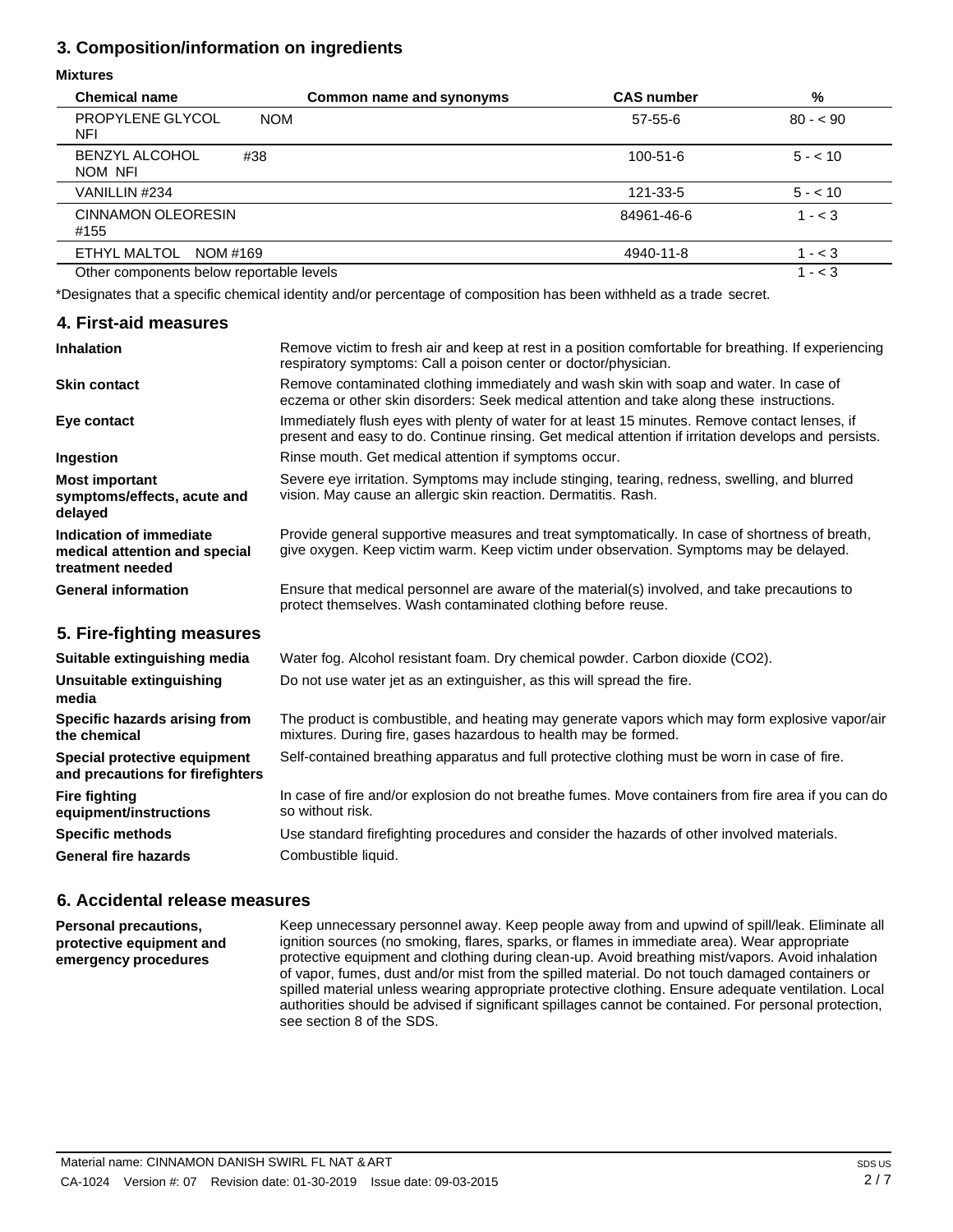## **3. Composition/information on ingredients**

### **Mixtures**

| <b>Chemical name</b>                                | Common name and synonyms | <b>CAS number</b> | %         |
|-----------------------------------------------------|--------------------------|-------------------|-----------|
| <b>PROPYLENE GLYCOL</b><br><b>NOM</b><br><b>NFI</b> |                          | $57-55-6$         | $80 - 90$ |
| <b>BENZYL ALCOHOL</b><br>#38<br>NOM NFI             |                          | $100 - 51 - 6$    | $5 - 10$  |
| VANILLIN #234                                       |                          | 121-33-5          | $5 - 10$  |
| <b>CINNAMON OLEORESIN</b><br>#155                   |                          | 84961-46-6        | $1 - < 3$ |
| ETHYL MALTOL<br>NOM #169                            |                          | 4940-11-8         | $1 - < 3$ |
| Other components below reportable levels            |                          |                   | $1 - < 3$ |

\*Designates that a specific chemical identity and/or percentage of composition has been withheld as a trade secret.

### **4. First-aid measures**

| <b>Inhalation</b>                                                            | Remove victim to fresh air and keep at rest in a position comfortable for breathing. If experiencing<br>respiratory symptoms: Call a poison center or doctor/physician.                                |  |
|------------------------------------------------------------------------------|--------------------------------------------------------------------------------------------------------------------------------------------------------------------------------------------------------|--|
| <b>Skin contact</b>                                                          | Remove contaminated clothing immediately and wash skin with soap and water. In case of<br>eczema or other skin disorders: Seek medical attention and take along these instructions.                    |  |
| Eye contact                                                                  | Immediately flush eyes with plenty of water for at least 15 minutes. Remove contact lenses, if<br>present and easy to do. Continue rinsing. Get medical attention if irritation develops and persists. |  |
| Ingestion                                                                    | Rinse mouth. Get medical attention if symptoms occur.                                                                                                                                                  |  |
| <b>Most important</b><br>symptoms/effects, acute and<br>delayed              | Severe eye irritation. Symptoms may include stinging, tearing, redness, swelling, and blurred<br>vision. May cause an allergic skin reaction. Dermatitis. Rash.                                        |  |
| Indication of immediate<br>medical attention and special<br>treatment needed | Provide general supportive measures and treat symptomatically. In case of shortness of breath,<br>give oxygen. Keep victim warm. Keep victim under observation. Symptoms may be delayed.               |  |
| <b>General information</b>                                                   | Ensure that medical personnel are aware of the material(s) involved, and take precautions to<br>protect themselves. Wash contaminated clothing before reuse.                                           |  |
| 5. Fire-fighting measures                                                    |                                                                                                                                                                                                        |  |
| Suitable extinguishing media                                                 | Water fog. Alcohol resistant foam. Dry chemical powder. Carbon dioxide (CO2).                                                                                                                          |  |
| Unsuitable extinguishing<br>media                                            | Do not use water jet as an extinguisher, as this will spread the fire.                                                                                                                                 |  |
| Specific hazards arising from<br>the chemical                                | The product is combustible, and heating may generate vapors which may form explosive vapor/air<br>mixtures. During fire, gases hazardous to health may be formed.                                      |  |
| Special protective equipment<br>and precautions for firefighters             | Self-contained breathing apparatus and full protective clothing must be worn in case of fire.                                                                                                          |  |
| <b>Fire fighting</b>                                                         | In case of fire and/or explosion do not breathe fumes. Move containers from fire area if you can do                                                                                                    |  |

In case of fire and/or explosion do not breathe fumes. Move containers from fire area if you can do so without risk.

Use standard firefighting procedures and consider the hazards of other involved materials. Combustible liquid.

### **6. Accidental release measures**

**equipment/instructions Specific methods General fire hazards**

**Personal precautions, protective equipment and emergency procedures** Keep unnecessary personnel away. Keep people away from and upwind of spill/leak. Eliminate all ignition sources (no smoking, flares, sparks, or flames in immediate area). Wear appropriate protective equipment and clothing during clean-up. Avoid breathing mist/vapors. Avoid inhalation of vapor, fumes, dust and/or mist from the spilled material. Do not touch damaged containers or spilled material unless wearing appropriate protective clothing. Ensure adequate ventilation. Local authorities should be advised if significant spillages cannot be contained. For personal protection, see section 8 of the SDS.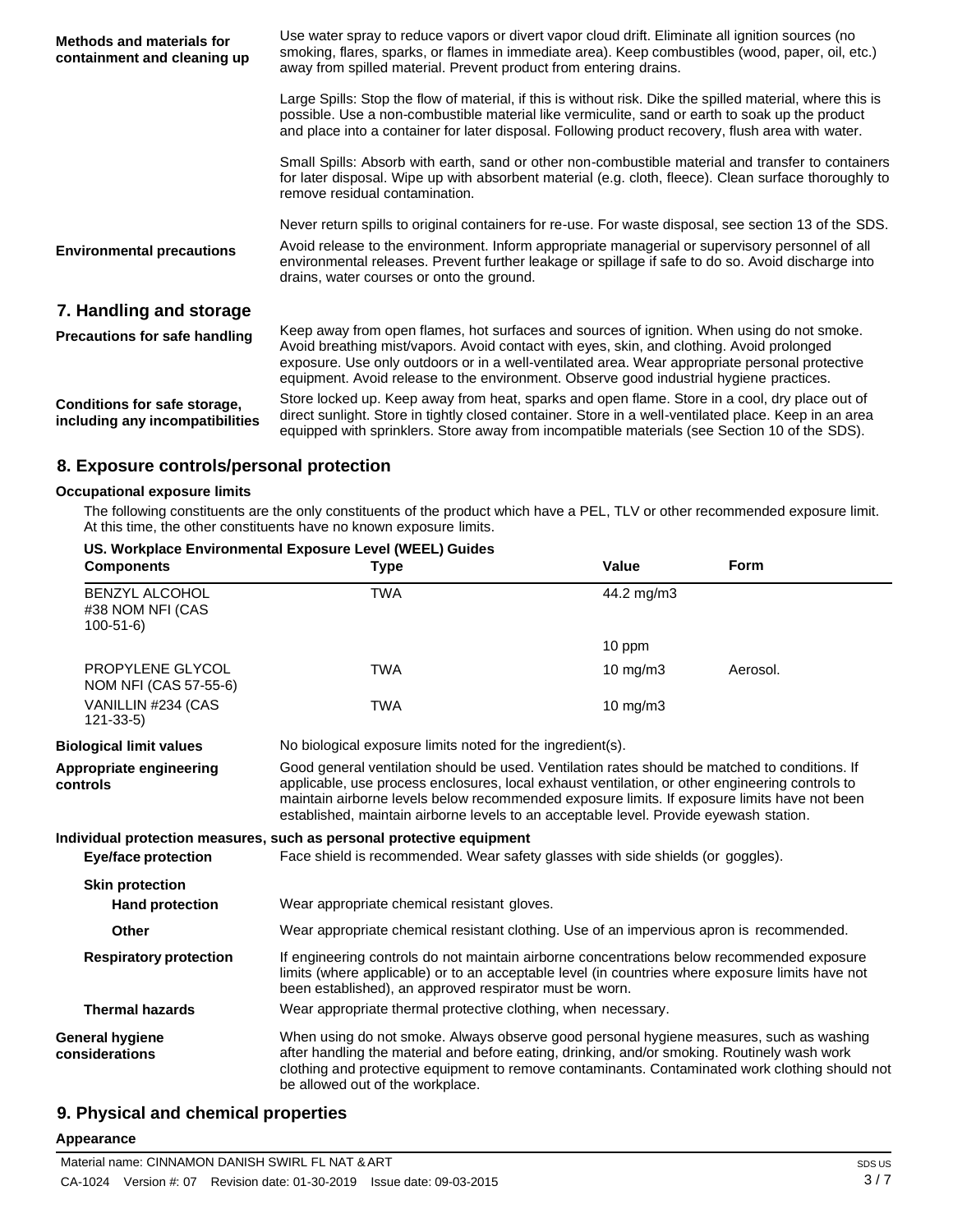| <b>Methods and materials for</b><br>containment and cleaning up | Use water spray to reduce vapors or divert vapor cloud drift. Eliminate all ignition sources (no<br>smoking, flares, sparks, or flames in immediate area). Keep combustibles (wood, paper, oil, etc.)<br>away from spilled material. Prevent product from entering drains.                                                                                                           |  |
|-----------------------------------------------------------------|--------------------------------------------------------------------------------------------------------------------------------------------------------------------------------------------------------------------------------------------------------------------------------------------------------------------------------------------------------------------------------------|--|
|                                                                 | Large Spills: Stop the flow of material, if this is without risk. Dike the spilled material, where this is<br>possible. Use a non-combustible material like vermiculite, sand or earth to soak up the product<br>and place into a container for later disposal. Following product recovery, flush area with water.                                                                   |  |
|                                                                 | Small Spills: Absorb with earth, sand or other non-combustible material and transfer to containers<br>for later disposal. Wipe up with absorbent material (e.g. cloth, fleece). Clean surface thoroughly to<br>remove residual contamination.                                                                                                                                        |  |
|                                                                 | Never return spills to original containers for re-use. For waste disposal, see section 13 of the SDS.                                                                                                                                                                                                                                                                                |  |
| <b>Environmental precautions</b>                                | Avoid release to the environment. Inform appropriate managerial or supervisory personnel of all<br>environmental releases. Prevent further leakage or spillage if safe to do so. Avoid discharge into<br>drains, water courses or onto the ground.                                                                                                                                   |  |
| 7. Handling and storage                                         |                                                                                                                                                                                                                                                                                                                                                                                      |  |
| <b>Precautions for safe handling</b>                            | Keep away from open flames, hot surfaces and sources of ignition. When using do not smoke.<br>Avoid breathing mist/vapors. Avoid contact with eyes, skin, and clothing. Avoid prolonged<br>exposure. Use only outdoors or in a well-ventilated area. Wear appropriate personal protective<br>equipment. Avoid release to the environment. Observe good industrial hygiene practices. |  |
| Conditions for safe storage,<br>including any incompatibilities | Store locked up. Keep away from heat, sparks and open flame. Store in a cool, dry place out of<br>direct sunlight. Store in tightly closed container. Store in a well-ventilated place. Keep in an area                                                                                                                                                                              |  |

## **8. Exposure controls/personal protection**

#### **Occupational exposure limits**

The following constituents are the only constituents of the product which have a PEL, TLV or other recommended exposure limit. At this time, the other constituents have no known exposure limits.

equipped with sprinklers. Store away from incompatible materials (see Section 10 of the SDS).

| <b>Components</b>                                       | US. Workplace Environmental Exposure Level (WEEL) Guides<br><b>Type</b>                                                                                                                                                                                                                                                                                                                     | Value             | <b>Form</b> |
|---------------------------------------------------------|---------------------------------------------------------------------------------------------------------------------------------------------------------------------------------------------------------------------------------------------------------------------------------------------------------------------------------------------------------------------------------------------|-------------------|-------------|
| <b>BENZYL ALCOHOL</b><br>#38 NOM NFI (CAS<br>$100-51-6$ | <b>TWA</b>                                                                                                                                                                                                                                                                                                                                                                                  | 44.2 mg/m3        |             |
|                                                         |                                                                                                                                                                                                                                                                                                                                                                                             | 10 ppm            |             |
| PROPYLENE GLYCOL<br>NOM NFI (CAS 57-55-6)               | <b>TWA</b>                                                                                                                                                                                                                                                                                                                                                                                  | $10 \text{ mg/m}$ | Aerosol.    |
| VANILLIN #234 (CAS<br>$121 - 33 - 5$                    | <b>TWA</b>                                                                                                                                                                                                                                                                                                                                                                                  | 10 mg/m3          |             |
| <b>Biological limit values</b>                          | No biological exposure limits noted for the ingredient(s).                                                                                                                                                                                                                                                                                                                                  |                   |             |
| Appropriate engineering<br>controls                     | Good general ventilation should be used. Ventilation rates should be matched to conditions. If<br>applicable, use process enclosures, local exhaust ventilation, or other engineering controls to<br>maintain airborne levels below recommended exposure limits. If exposure limits have not been<br>established, maintain airborne levels to an acceptable level. Provide eyewash station. |                   |             |
|                                                         | Individual protection measures, such as personal protective equipment                                                                                                                                                                                                                                                                                                                       |                   |             |
| <b>Eye/face protection</b>                              | Face shield is recommended. Wear safety glasses with side shields (or goggles).                                                                                                                                                                                                                                                                                                             |                   |             |
| <b>Skin protection</b>                                  |                                                                                                                                                                                                                                                                                                                                                                                             |                   |             |
| <b>Hand protection</b>                                  | Wear appropriate chemical resistant gloves.                                                                                                                                                                                                                                                                                                                                                 |                   |             |
| <b>Other</b>                                            | Wear appropriate chemical resistant clothing. Use of an impervious apron is recommended.                                                                                                                                                                                                                                                                                                    |                   |             |
| <b>Respiratory protection</b>                           | If engineering controls do not maintain airborne concentrations below recommended exposure<br>limits (where applicable) or to an acceptable level (in countries where exposure limits have not<br>been established), an approved respirator must be worn.                                                                                                                                   |                   |             |
| <b>Thermal hazards</b>                                  | Wear appropriate thermal protective clothing, when necessary.                                                                                                                                                                                                                                                                                                                               |                   |             |
| General hygiene<br>considerations                       | When using do not smoke. Always observe good personal hygiene measures, such as washing<br>after handling the material and before eating, drinking, and/or smoking. Routinely wash work<br>clothing and protective equipment to remove contaminants. Contaminated work clothing should not<br>be allowed out of the workplace.                                                              |                   |             |

### **9. Physical and chemical properties**

#### **Appearance**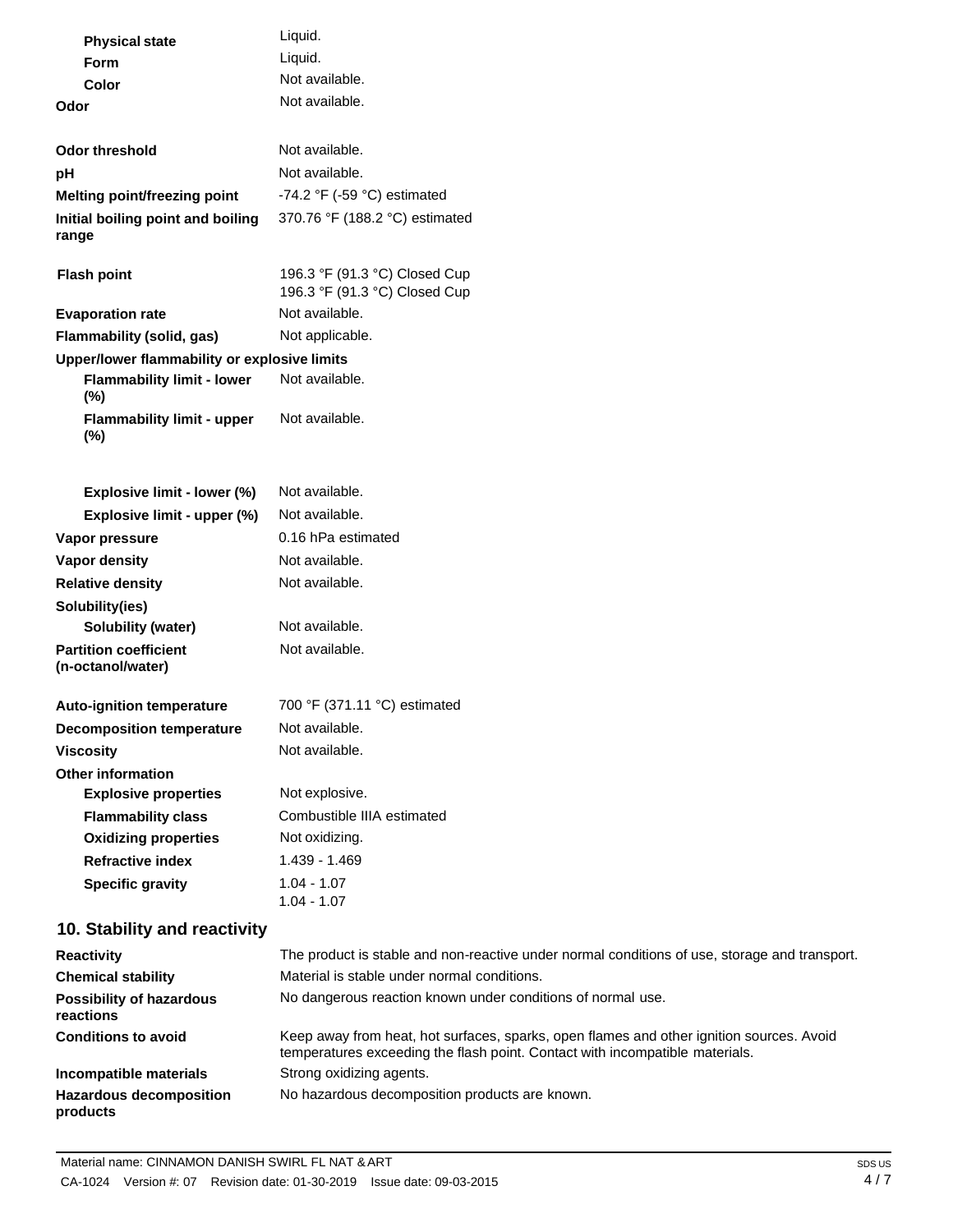| <b>Physical state</b>                             | Liquid.                                                                                       |  |  |
|---------------------------------------------------|-----------------------------------------------------------------------------------------------|--|--|
| <b>Form</b>                                       | Liquid.                                                                                       |  |  |
| Color                                             | Not available.                                                                                |  |  |
| Odor                                              | Not available.                                                                                |  |  |
| <b>Odor threshold</b>                             | Not available.                                                                                |  |  |
| рH                                                | Not available.                                                                                |  |  |
| Melting point/freezing point                      | -74.2 $\degree$ F (-59 $\degree$ C) estimated                                                 |  |  |
| Initial boiling point and boiling<br>range        | 370.76 °F (188.2 °C) estimated                                                                |  |  |
| <b>Flash point</b>                                | 196.3 °F (91.3 °C) Closed Cup<br>196.3 °F (91.3 °C) Closed Cup                                |  |  |
| <b>Evaporation rate</b>                           | Not available.                                                                                |  |  |
| Flammability (solid, gas)                         | Not applicable.                                                                               |  |  |
| Upper/lower flammability or explosive limits      |                                                                                               |  |  |
| <b>Flammability limit - lower</b><br>$(\%)$       | Not available.                                                                                |  |  |
| <b>Flammability limit - upper</b><br>$(\%)$       | Not available.                                                                                |  |  |
| Explosive limit - lower (%)                       | Not available.                                                                                |  |  |
| Explosive limit - upper (%)                       | Not available.                                                                                |  |  |
| Vapor pressure                                    | 0.16 hPa estimated                                                                            |  |  |
| Vapor density                                     | Not available.                                                                                |  |  |
| <b>Relative density</b>                           | Not available.                                                                                |  |  |
| Solubility(ies)                                   |                                                                                               |  |  |
| <b>Solubility (water)</b>                         | Not available.                                                                                |  |  |
| <b>Partition coefficient</b><br>(n-octanol/water) | Not available.                                                                                |  |  |
| <b>Auto-ignition temperature</b>                  | 700 °F (371.11 °C) estimated                                                                  |  |  |
| <b>Decomposition temperature</b>                  | Not available.                                                                                |  |  |
| <b>Viscosity</b>                                  | Not available.                                                                                |  |  |
| <b>Other information</b>                          |                                                                                               |  |  |
| <b>Explosive properties</b>                       | Not explosive.                                                                                |  |  |
| <b>Flammability class</b>                         | Combustible IIIA estimated                                                                    |  |  |
| <b>Oxidizing properties</b>                       | Not oxidizing.                                                                                |  |  |
| <b>Refractive index</b>                           | 1.439 - 1.469                                                                                 |  |  |
| <b>Specific gravity</b>                           | $1.04 - 1.07$<br>$1.04 - 1.07$                                                                |  |  |
| 10. Stability and reactivity                      |                                                                                               |  |  |
| <b>Reactivity</b>                                 | The product is stable and non-reactive under normal conditions of use, storage and transport. |  |  |
| <b>Chemical stability</b>                         | Material is stable under normal conditions.                                                   |  |  |
| <b>Possibility of hazardous</b><br>reactions      | No dangerous reaction known under conditions of normal use.                                   |  |  |

| <b>Conditions to avoid</b>                 | Keep away from heat, hot surfaces, sparks, open flames and other ignition sources. Avoid<br>temperatures exceeding the flash point. Contact with incompatible materials. |
|--------------------------------------------|--------------------------------------------------------------------------------------------------------------------------------------------------------------------------|
| Incompatible materials                     | Strong oxidizing agents.                                                                                                                                                 |
| <b>Hazardous decomposition</b><br>products | No hazardous decomposition products are known.                                                                                                                           |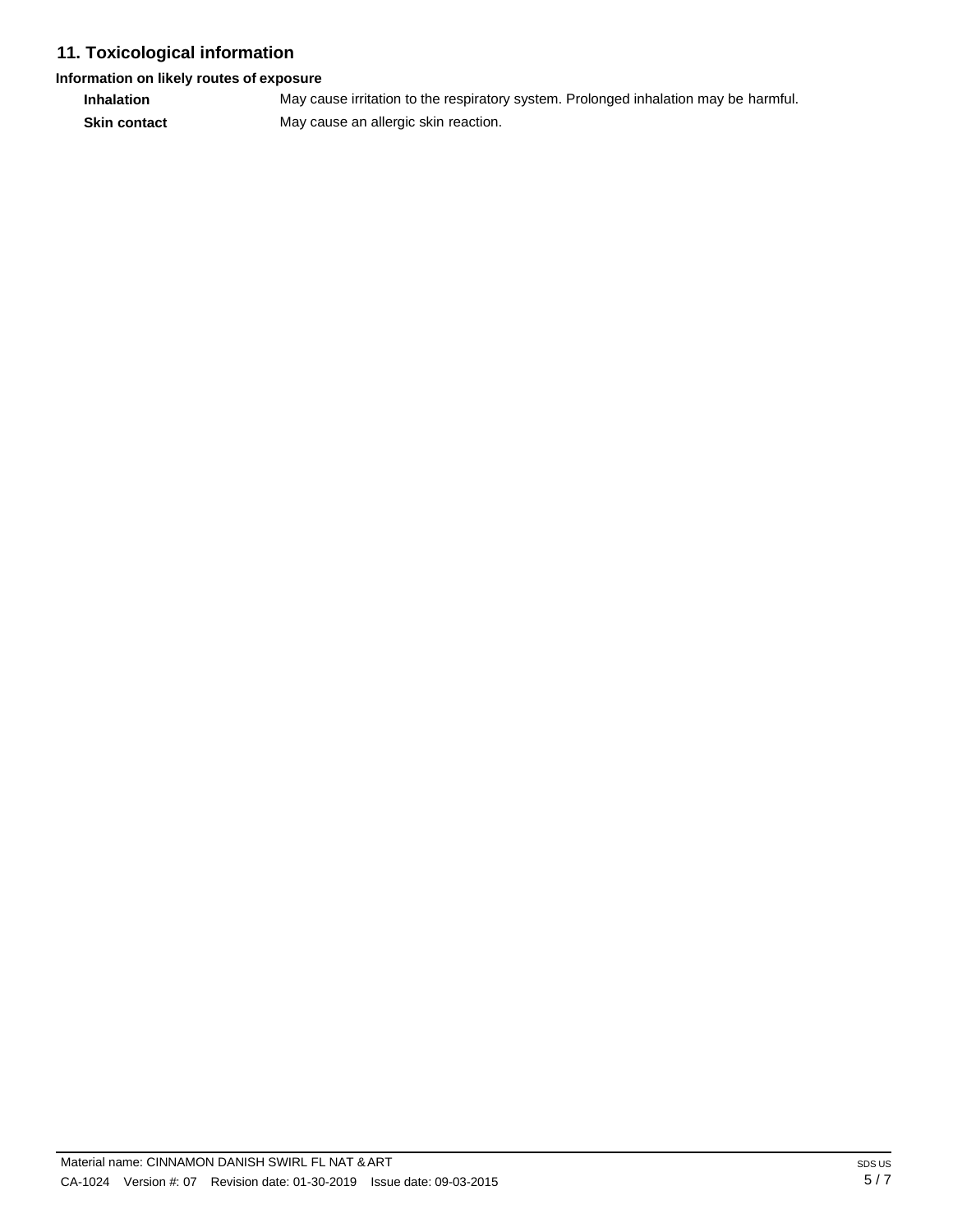## **11. Toxicological information**

### **Information on likely routes of exposure**

**Inhalation** May cause irritation to the respiratory system. Prolonged inhalation may be harmful. **Skin contact** May cause an allergic skin reaction.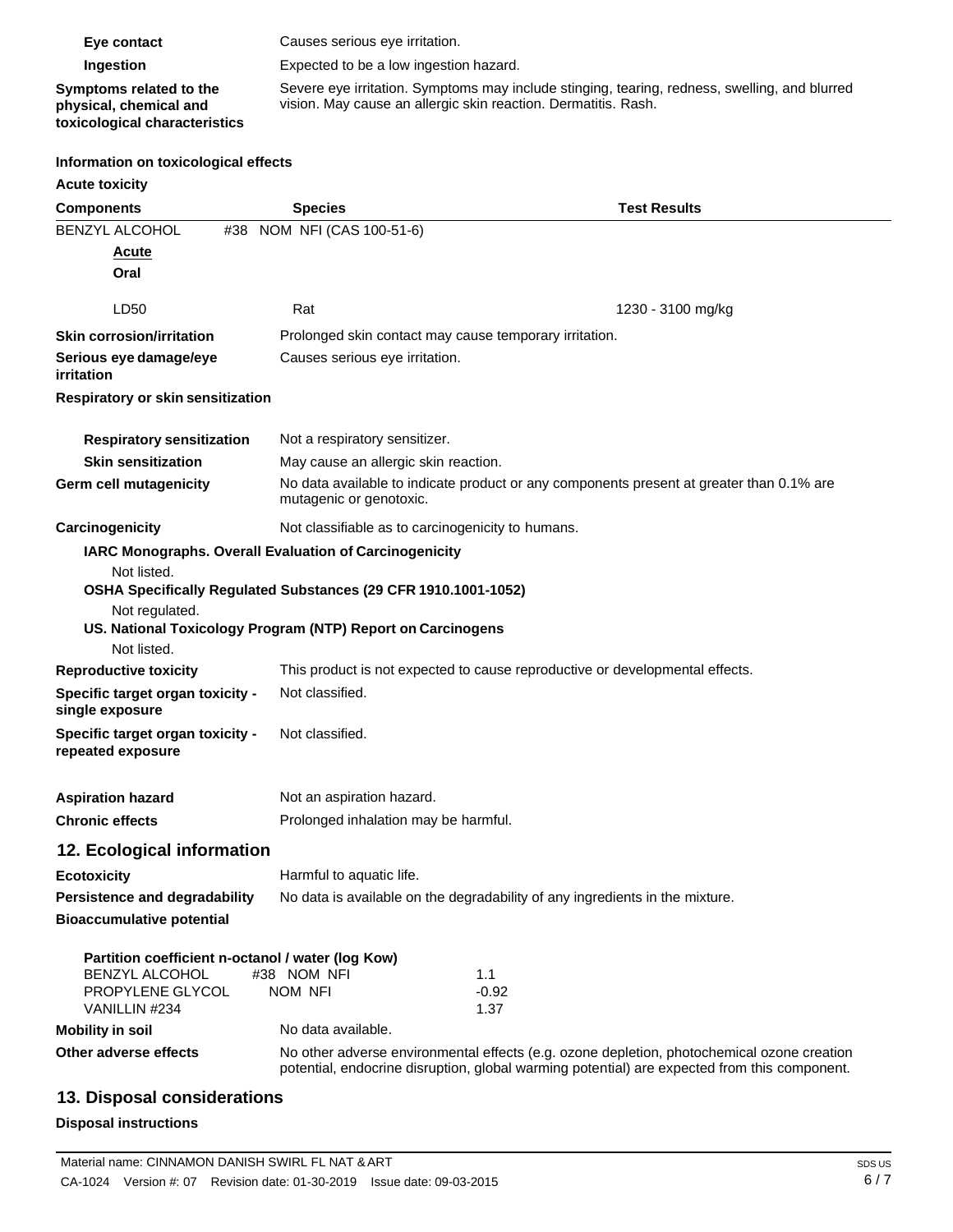| Eye contact                                                                        | Causes serious eye irritation.                                                                                                                                  |  |  |
|------------------------------------------------------------------------------------|-----------------------------------------------------------------------------------------------------------------------------------------------------------------|--|--|
| Ingestion                                                                          | Expected to be a low ingestion hazard.                                                                                                                          |  |  |
| Symptoms related to the<br>physical, chemical and<br>toxicological characteristics | Severe eye irritation. Symptoms may include stinging, tearing, redness, swelling, and blurred<br>vision. May cause an allergic skin reaction. Dermatitis. Rash. |  |  |

### **Information on toxicological effects**

| <b>Acute toxicity</b>                                 |     |                                                                                                                                                                                            |                                                                                                                     |  |
|-------------------------------------------------------|-----|--------------------------------------------------------------------------------------------------------------------------------------------------------------------------------------------|---------------------------------------------------------------------------------------------------------------------|--|
| <b>Components</b>                                     |     | <b>Species</b>                                                                                                                                                                             | <b>Test Results</b>                                                                                                 |  |
| BENZYL ALCOHOL                                        | #38 | NOM NFI (CAS 100-51-6)                                                                                                                                                                     |                                                                                                                     |  |
| <b>Acute</b>                                          |     |                                                                                                                                                                                            |                                                                                                                     |  |
| Oral                                                  |     |                                                                                                                                                                                            |                                                                                                                     |  |
| LD50                                                  |     | Rat                                                                                                                                                                                        | 1230 - 3100 mg/kg                                                                                                   |  |
| <b>Skin corrosion/irritation</b>                      |     |                                                                                                                                                                                            | Prolonged skin contact may cause temporary irritation.                                                              |  |
| Serious eye damage/eye<br>irritation                  |     | Causes serious eye irritation.                                                                                                                                                             |                                                                                                                     |  |
| <b>Respiratory or skin sensitization</b>              |     |                                                                                                                                                                                            |                                                                                                                     |  |
| <b>Respiratory sensitization</b>                      |     |                                                                                                                                                                                            | Not a respiratory sensitizer.                                                                                       |  |
| <b>Skin sensitization</b>                             |     | May cause an allergic skin reaction.                                                                                                                                                       |                                                                                                                     |  |
| Germ cell mutagenicity                                |     |                                                                                                                                                                                            | No data available to indicate product or any components present at greater than 0.1% are<br>mutagenic or genotoxic. |  |
| Carcinogenicity                                       |     |                                                                                                                                                                                            | Not classifiable as to carcinogenicity to humans.                                                                   |  |
|                                                       |     | <b>IARC Monographs. Overall Evaluation of Carcinogenicity</b>                                                                                                                              |                                                                                                                     |  |
| Not listed.                                           |     |                                                                                                                                                                                            |                                                                                                                     |  |
|                                                       |     | OSHA Specifically Regulated Substances (29 CFR 1910.1001-1052)                                                                                                                             |                                                                                                                     |  |
| Not regulated.                                        |     | US. National Toxicology Program (NTP) Report on Carcinogens                                                                                                                                |                                                                                                                     |  |
| Not listed.                                           |     |                                                                                                                                                                                            |                                                                                                                     |  |
| <b>Reproductive toxicity</b>                          |     | This product is not expected to cause reproductive or developmental effects.                                                                                                               |                                                                                                                     |  |
| Specific target organ toxicity -<br>single exposure   |     | Not classified.                                                                                                                                                                            |                                                                                                                     |  |
| Specific target organ toxicity -<br>repeated exposure |     | Not classified.                                                                                                                                                                            |                                                                                                                     |  |
| <b>Aspiration hazard</b>                              |     |                                                                                                                                                                                            | Not an aspiration hazard.                                                                                           |  |
| <b>Chronic effects</b>                                |     | Prolonged inhalation may be harmful.                                                                                                                                                       |                                                                                                                     |  |
| 12. Ecological information                            |     |                                                                                                                                                                                            |                                                                                                                     |  |
| <b>Ecotoxicity</b>                                    |     | Harmful to aquatic life                                                                                                                                                                    |                                                                                                                     |  |
| <b>Persistence and degradability</b>                  |     | No data is available on the degradability of any ingredients in the mixture.                                                                                                               |                                                                                                                     |  |
| <b>Bioaccumulative potential</b>                      |     |                                                                                                                                                                                            |                                                                                                                     |  |
|                                                       |     | Partition coefficient n-octanol / water (log Kow)                                                                                                                                          |                                                                                                                     |  |
| <b>BENZYL ALCOHOL</b>                                 |     | #38 NOM NFI                                                                                                                                                                                | 1.1                                                                                                                 |  |
| PROPYLENE GLYCOL                                      |     | NOM NFI                                                                                                                                                                                    | $-0.92$                                                                                                             |  |
| VANILLIN #234<br><b>Mobility in soil</b>              |     | No data available.                                                                                                                                                                         | 1.37                                                                                                                |  |
| Other adverse effects                                 |     |                                                                                                                                                                                            |                                                                                                                     |  |
|                                                       |     | No other adverse environmental effects (e.g. ozone depletion, photochemical ozone creation<br>potential, endocrine disruption, global warming potential) are expected from this component. |                                                                                                                     |  |

## **13. Disposal considerations**

**Disposal instructions**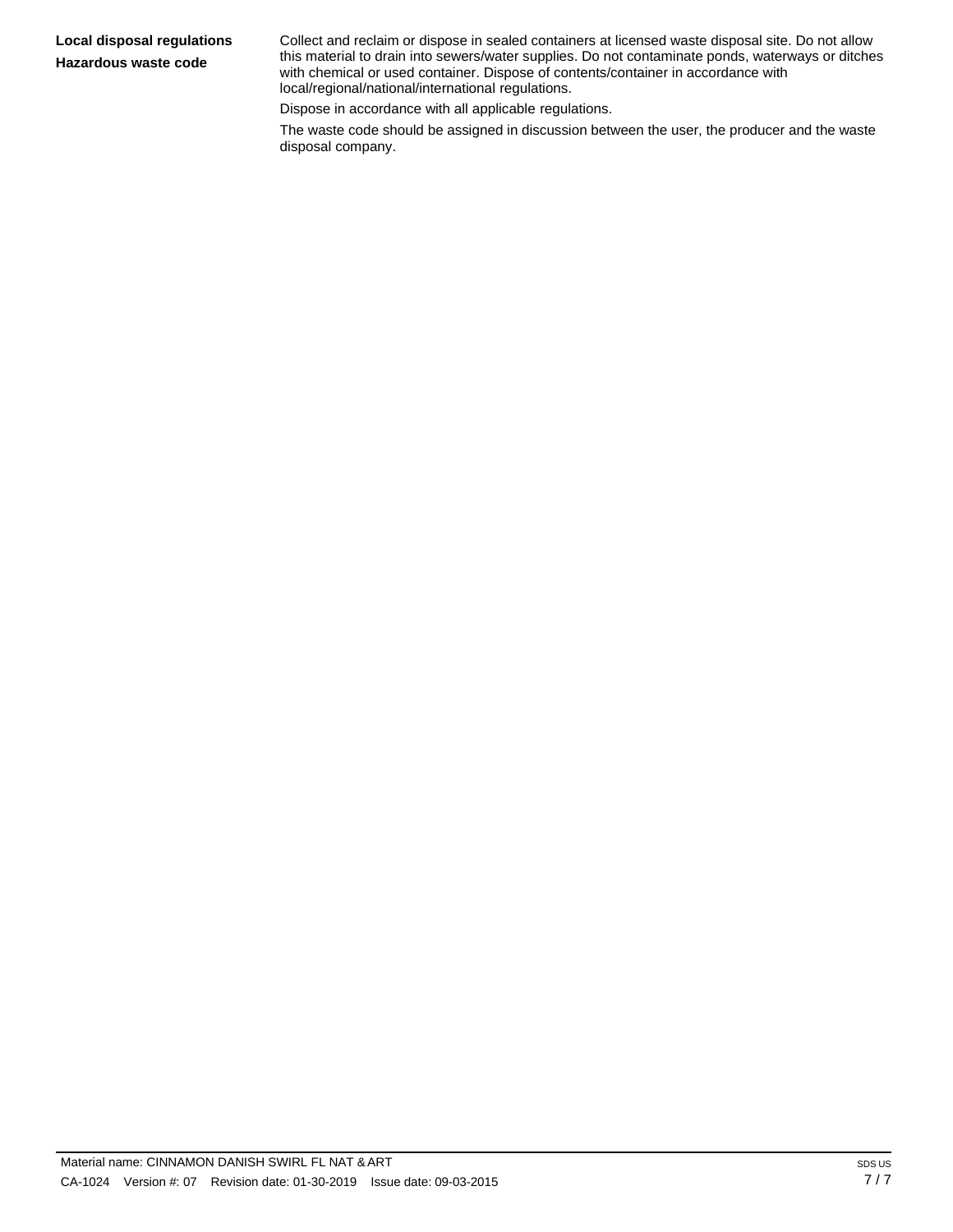### **Local disposal regulations Hazardous waste code**

Collect and reclaim or dispose in sealed containers at licensed waste disposal site. Do not allow this material to drain into sewers/water supplies. Do not contaminate ponds, waterways or ditches with chemical or used container. Dispose of contents/container in accordance with local/regional/national/international regulations.

Dispose in accordance with all applicable regulations.

The waste code should be assigned in discussion between the user, the producer and the waste disposal company.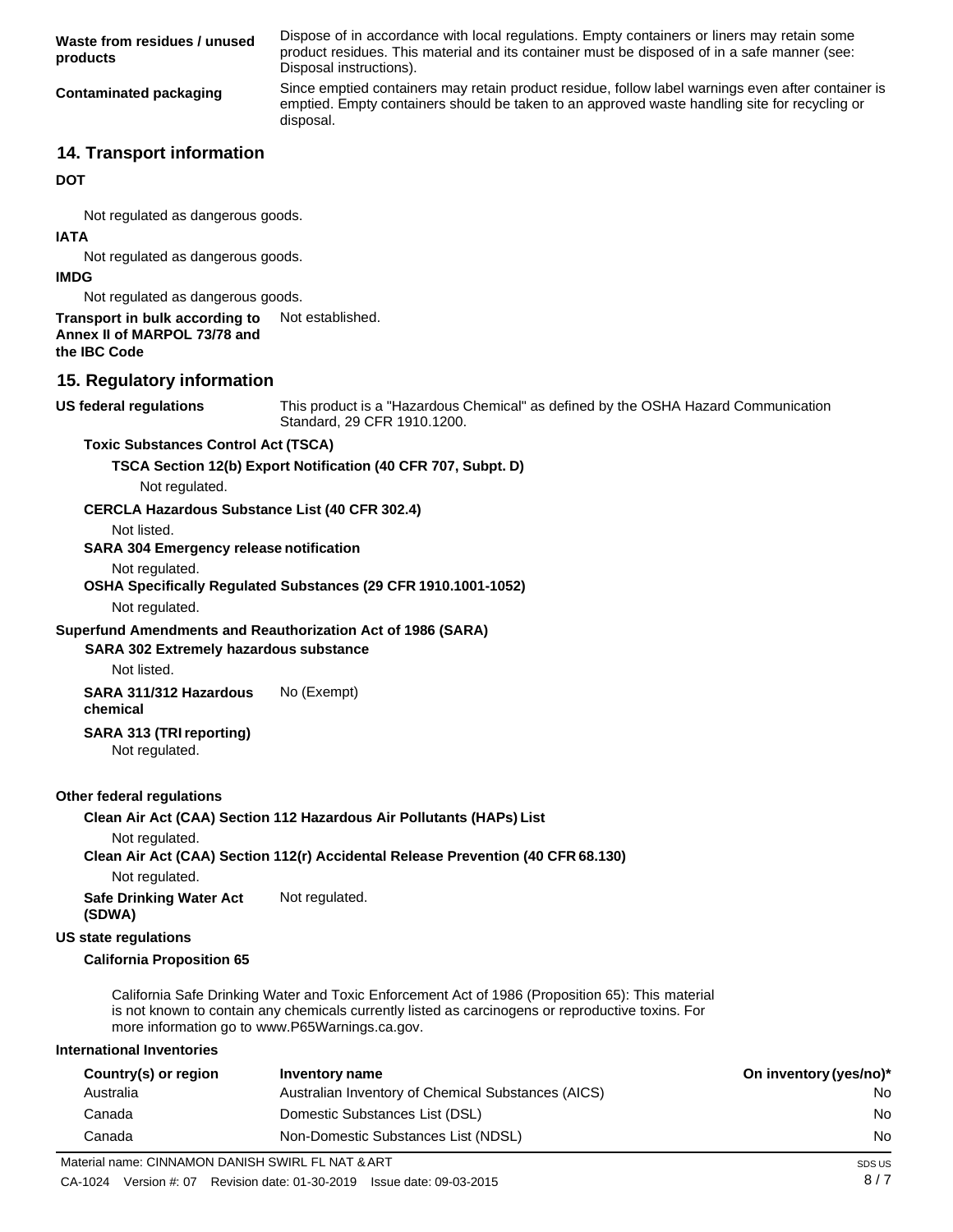| Waste from residues / unused<br>products                                                                     | Dispose of in accordance with local regulations. Empty containers or liners may retain some<br>product residues. This material and its container must be disposed of in a safe manner (see:<br>Disposal instructions). |                              |
|--------------------------------------------------------------------------------------------------------------|------------------------------------------------------------------------------------------------------------------------------------------------------------------------------------------------------------------------|------------------------------|
| <b>Contaminated packaging</b>                                                                                | Since emptied containers may retain product residue, follow label warnings even after container is<br>emptied. Empty containers should be taken to an approved waste handling site for recycling or<br>disposal.       |                              |
| <b>14. Transport information</b>                                                                             |                                                                                                                                                                                                                        |                              |
| <b>DOT</b>                                                                                                   |                                                                                                                                                                                                                        |                              |
| Not regulated as dangerous goods.<br><b>IATA</b><br>Not regulated as dangerous goods.                        |                                                                                                                                                                                                                        |                              |
| <b>IMDG</b>                                                                                                  |                                                                                                                                                                                                                        |                              |
| Not regulated as dangerous goods.                                                                            |                                                                                                                                                                                                                        |                              |
| Transport in bulk according to<br>Annex II of MARPOL 73/78 and<br>the IBC Code                               | Not established.                                                                                                                                                                                                       |                              |
| 15. Regulatory information                                                                                   |                                                                                                                                                                                                                        |                              |
| <b>US federal regulations</b>                                                                                | This product is a "Hazardous Chemical" as defined by the OSHA Hazard Communication<br>Standard, 29 CFR 1910.1200.                                                                                                      |                              |
| <b>Toxic Substances Control Act (TSCA)</b><br>Not regulated.                                                 | TSCA Section 12(b) Export Notification (40 CFR 707, Subpt. D)                                                                                                                                                          |                              |
| <b>CERCLA Hazardous Substance List (40 CFR 302.4)</b>                                                        |                                                                                                                                                                                                                        |                              |
| Not listed.<br><b>SARA 304 Emergency release notification</b>                                                |                                                                                                                                                                                                                        |                              |
| Not regulated.                                                                                               | OSHA Specifically Regulated Substances (29 CFR 1910.1001-1052)                                                                                                                                                         |                              |
| Not regulated.                                                                                               |                                                                                                                                                                                                                        |                              |
| Superfund Amendments and Reauthorization Act of 1986 (SARA)<br><b>SARA 302 Extremely hazardous substance</b> |                                                                                                                                                                                                                        |                              |
| Not listed.                                                                                                  |                                                                                                                                                                                                                        |                              |
| SARA 311/312 Hazardous<br>chemical                                                                           | No (Exempt)                                                                                                                                                                                                            |                              |
| <b>SARA 313 (TRI reporting)</b><br>Not regulated.                                                            |                                                                                                                                                                                                                        |                              |
| Other federal regulations                                                                                    |                                                                                                                                                                                                                        |                              |
|                                                                                                              | Clean Air Act (CAA) Section 112 Hazardous Air Pollutants (HAPs) List                                                                                                                                                   |                              |
| Not regulated.                                                                                               | Clean Air Act (CAA) Section 112(r) Accidental Release Prevention (40 CFR 68.130)                                                                                                                                       |                              |
| Not regulated.                                                                                               |                                                                                                                                                                                                                        |                              |
| <b>Safe Drinking Water Act</b><br>(SDWA)                                                                     | Not regulated.                                                                                                                                                                                                         |                              |
| <b>US state regulations</b>                                                                                  |                                                                                                                                                                                                                        |                              |
| <b>California Proposition 65</b>                                                                             |                                                                                                                                                                                                                        |                              |
| more information go to www.P65Warnings.ca.gov.                                                               | California Safe Drinking Water and Toxic Enforcement Act of 1986 (Proposition 65): This material<br>is not known to contain any chemicals currently listed as carcinogens or reproductive toxins. For                  |                              |
| <b>International Inventories</b>                                                                             |                                                                                                                                                                                                                        |                              |
| Country(s) or region<br>Australia                                                                            | <b>Inventory name</b><br>Australian Inventory of Chemical Substances (AICS)                                                                                                                                            | On inventory (yes/no)*<br>No |
| Canada                                                                                                       | Domestic Substances List (DSL)                                                                                                                                                                                         | No                           |
| Canada                                                                                                       | Non-Domestic Substances List (NDSL)                                                                                                                                                                                    | No                           |
| Material name: CINNAMON DANISH SWIRL FL NAT & ART                                                            |                                                                                                                                                                                                                        | SDS US                       |